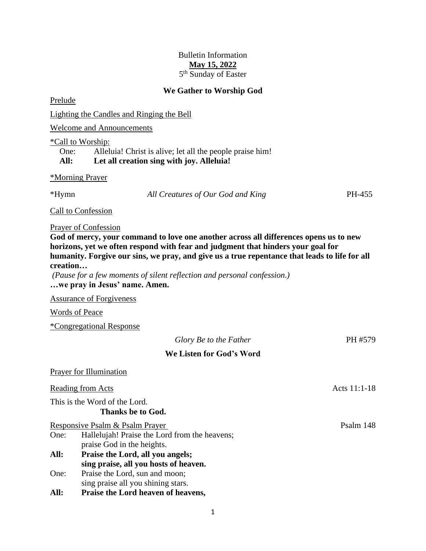# Bulletin Information **May 15, 2022** 5<sup>th</sup> Sunday of Easter

# **We Gather to Worship God**

Prelude Lighting the Candles and Ringing the Bell Welcome and Announcements \*Call to Worship: One: Alleluia! Christ is alive; let all the people praise him! **All: Let all creation sing with joy. Alleluia!** \*Morning Prayer \*Hymn *All Creatures of Our God and King* PH-455 Call to Confession Prayer of Confession **God of mercy, your command to love one another across all differences opens us to new horizons, yet we often respond with fear and judgment that hinders your goal for humanity. Forgive our sins, we pray, and give us a true repentance that leads to life for all creation…** *(Pause for a few moments of silent reflection and personal confession.)* **…we pray in Jesus' name. Amen.** Assurance of Forgiveness Words of Peace \*Congregational Response *Glory Be to the Father* PH #579 **We Listen for God's Word** Prayer for Illumination Reading from Acts Acts 11:1-18 This is the Word of the Lord. **Thanks be to God.** Responsive Psalm & Psalm Prayer Psalm 148 One: Hallelujah! Praise the Lord from the heavens; praise God in the heights. **All: Praise the Lord, all you angels; sing praise, all you hosts of heaven.**

One: Praise the Lord, sun and moon; sing praise all you shining stars.

**All: Praise the Lord heaven of heavens,**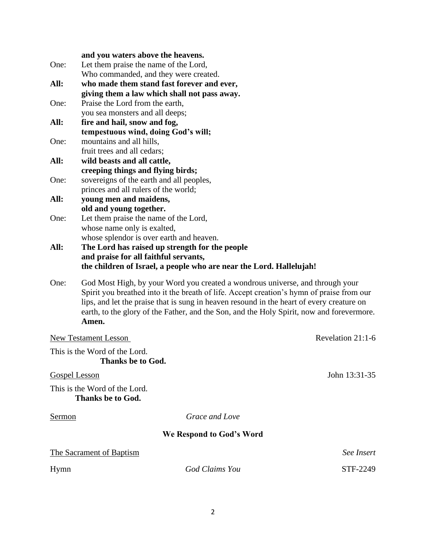|                                                                     | and you waters above the heavens.                                                                                                                                                                                                                                                                                                                                             |          |  |  |
|---------------------------------------------------------------------|-------------------------------------------------------------------------------------------------------------------------------------------------------------------------------------------------------------------------------------------------------------------------------------------------------------------------------------------------------------------------------|----------|--|--|
| One:                                                                | Let them praise the name of the Lord,                                                                                                                                                                                                                                                                                                                                         |          |  |  |
|                                                                     | Who commanded, and they were created.                                                                                                                                                                                                                                                                                                                                         |          |  |  |
| All:                                                                | who made them stand fast forever and ever,<br>giving them a law which shall not pass away.                                                                                                                                                                                                                                                                                    |          |  |  |
| One:                                                                | Praise the Lord from the earth,                                                                                                                                                                                                                                                                                                                                               |          |  |  |
|                                                                     | you sea monsters and all deeps;                                                                                                                                                                                                                                                                                                                                               |          |  |  |
| All:                                                                | fire and hail, snow and fog,                                                                                                                                                                                                                                                                                                                                                  |          |  |  |
|                                                                     | tempestuous wind, doing God's will;                                                                                                                                                                                                                                                                                                                                           |          |  |  |
| One:                                                                | mountains and all hills,                                                                                                                                                                                                                                                                                                                                                      |          |  |  |
| All:                                                                | fruit trees and all cedars;<br>wild beasts and all cattle,                                                                                                                                                                                                                                                                                                                    |          |  |  |
|                                                                     | creeping things and flying birds;                                                                                                                                                                                                                                                                                                                                             |          |  |  |
| One:                                                                | sovereigns of the earth and all peoples,                                                                                                                                                                                                                                                                                                                                      |          |  |  |
|                                                                     | princes and all rulers of the world;                                                                                                                                                                                                                                                                                                                                          |          |  |  |
| All:                                                                | young men and maidens,                                                                                                                                                                                                                                                                                                                                                        |          |  |  |
| One:                                                                | old and young together.<br>Let them praise the name of the Lord,                                                                                                                                                                                                                                                                                                              |          |  |  |
|                                                                     | whose name only is exalted,                                                                                                                                                                                                                                                                                                                                                   |          |  |  |
|                                                                     | whose splendor is over earth and heaven.                                                                                                                                                                                                                                                                                                                                      |          |  |  |
| All:                                                                | The Lord has raised up strength for the people                                                                                                                                                                                                                                                                                                                                |          |  |  |
|                                                                     | and praise for all faithful servants,                                                                                                                                                                                                                                                                                                                                         |          |  |  |
| the children of Israel, a people who are near the Lord. Hallelujah! |                                                                                                                                                                                                                                                                                                                                                                               |          |  |  |
| One:                                                                | God Most High, by your Word you created a wondrous universe, and through your<br>Spirit you breathed into it the breath of life. Accept creation's hymn of praise from our<br>lips, and let the praise that is sung in heaven resound in the heart of every creature on<br>earth, to the glory of the Father, and the Son, and the Holy Spirit, now and forevermore.<br>Amen. |          |  |  |
| Revelation 21:1-6<br><b>New Testament Lesson</b>                    |                                                                                                                                                                                                                                                                                                                                                                               |          |  |  |
| This is the Word of the Lord.                                       |                                                                                                                                                                                                                                                                                                                                                                               |          |  |  |
| Thanks be to God.                                                   |                                                                                                                                                                                                                                                                                                                                                                               |          |  |  |
| John 13:31-35<br><b>Gospel Lesson</b>                               |                                                                                                                                                                                                                                                                                                                                                                               |          |  |  |
| This is the Word of the Lord.<br><b>Thanks be to God.</b>           |                                                                                                                                                                                                                                                                                                                                                                               |          |  |  |
| Grace and Love<br><u>Sermon</u>                                     |                                                                                                                                                                                                                                                                                                                                                                               |          |  |  |
| We Respond to God's Word                                            |                                                                                                                                                                                                                                                                                                                                                                               |          |  |  |
| <b>The Sacrament of Baptism</b><br>See Insert                       |                                                                                                                                                                                                                                                                                                                                                                               |          |  |  |
|                                                                     |                                                                                                                                                                                                                                                                                                                                                                               |          |  |  |
| Hymn                                                                | God Claims You                                                                                                                                                                                                                                                                                                                                                                | STF-2249 |  |  |
|                                                                     |                                                                                                                                                                                                                                                                                                                                                                               |          |  |  |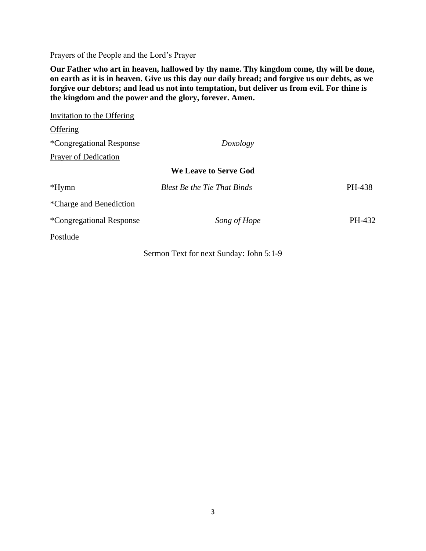Prayers of the People and the Lord's Prayer

**Our Father who art in heaven, hallowed by thy name. Thy kingdom come, thy will be done, on earth as it is in heaven. Give us this day our daily bread; and forgive us our debts, as we forgive our debtors; and lead us not into temptation, but deliver us from evil. For thine is the kingdom and the power and the glory, forever. Amen.**

| Invitation to the Offering  |                                    |        |
|-----------------------------|------------------------------------|--------|
| Offering                    |                                    |        |
| *Congregational Response    | Doxology                           |        |
| <b>Prayer of Dedication</b> |                                    |        |
|                             | <b>We Leave to Serve God</b>       |        |
| $*Hymn$                     | <b>Blest Be the Tie That Binds</b> | PH-438 |
| *Charge and Benediction     |                                    |        |
| *Congregational Response    | Song of Hope                       | PH-432 |
| Postlude                    |                                    |        |
|                             |                                    |        |

Sermon Text for next Sunday: John 5:1-9